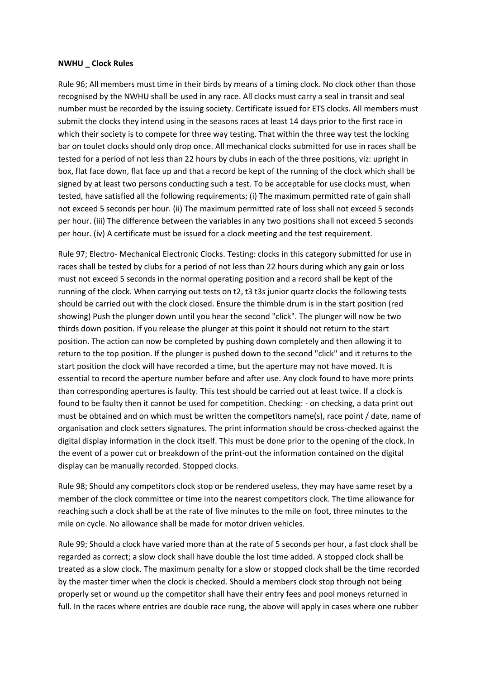## **NWHU \_ Clock Rules**

Rule 96; All members must time in their birds by means of a timing clock. No clock other than those recognised by the NWHU shall be used in any race. All clocks must carry a seal in transit and seal number must be recorded by the issuing society. Certificate issued for ETS clocks. All members must submit the clocks they intend using in the seasons races at least 14 days prior to the first race in which their society is to compete for three way testing. That within the three way test the locking bar on toulet clocks should only drop once. All mechanical clocks submitted for use in races shall be tested for a period of not less than 22 hours by clubs in each of the three positions, viz: upright in box, flat face down, flat face up and that a record be kept of the running of the clock which shall be signed by at least two persons conducting such a test. To be acceptable for use clocks must, when tested, have satisfied all the following requirements; (i) The maximum permitted rate of gain shall not exceed 5 seconds per hour. (ii) The maximum permitted rate of loss shall not exceed 5 seconds per hour. (iii) The difference between the variables in any two positions shall not exceed 5 seconds per hour. (iv) A certificate must be issued for a clock meeting and the test requirement.

Rule 97; Electro- Mechanical Electronic Clocks. Testing: clocks in this category submitted for use in races shall be tested by clubs for a period of not less than 22 hours during which any gain or loss must not exceed 5 seconds in the normal operating position and a record shall be kept of the running of the clock. When carrying out tests on t2, t3 t3s junior quartz clocks the following tests should be carried out with the clock closed. Ensure the thimble drum is in the start position (red showing) Push the plunger down until you hear the second "click". The plunger will now be two thirds down position. If you release the plunger at this point it should not return to the start position. The action can now be completed by pushing down completely and then allowing it to return to the top position. If the plunger is pushed down to the second "click" and it returns to the start position the clock will have recorded a time, but the aperture may not have moved. It is essential to record the aperture number before and after use. Any clock found to have more prints than corresponding apertures is faulty. This test should be carried out at least twice. If a clock is found to be faulty then it cannot be used for competition. Checking: - on checking, a data print out must be obtained and on which must be written the competitors name(s), race point / date, name of organisation and clock setters signatures. The print information should be cross-checked against the digital display information in the clock itself. This must be done prior to the opening of the clock. In the event of a power cut or breakdown of the print-out the information contained on the digital display can be manually recorded. Stopped clocks.

Rule 98; Should any competitors clock stop or be rendered useless, they may have same reset by a member of the clock committee or time into the nearest competitors clock. The time allowance for reaching such a clock shall be at the rate of five minutes to the mile on foot, three minutes to the mile on cycle. No allowance shall be made for motor driven vehicles.

Rule 99; Should a clock have varied more than at the rate of 5 seconds per hour, a fast clock shall be regarded as correct; a slow clock shall have double the lost time added. A stopped clock shall be treated as a slow clock. The maximum penalty for a slow or stopped clock shall be the time recorded by the master timer when the clock is checked. Should a members clock stop through not being properly set or wound up the competitor shall have their entry fees and pool moneys returned in full. In the races where entries are double race rung, the above will apply in cases where one rubber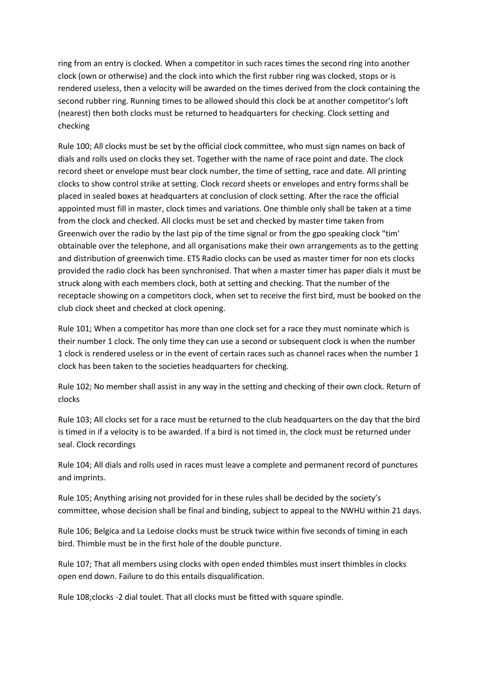ring from an entry is clocked. When a competitor in such races times the second ring into another clock (own or otherwise) and the clock into which the first rubber ring was clocked, stops or is rendered useless, then a velocity will be awarded on the times derived from the clock containing the second rubber ring. Running times to be allowed should this clock be at another competitor's loft (nearest) then both clocks must be returned to headquarters for checking. Clock setting and checking

Rule 100; All clocks must be set by the official clock committee, who must sign names on back of dials and rolls used on clocks they set. Together with the name of race point and date. The clock record sheet or envelope must bear clock number, the time of setting, race and date. All printing clocks to show control strike at setting. Clock record sheets or envelopes and entry forms shall be placed in sealed boxes at headquarters at conclusion of clock setting. After the race the official appointed must fill in master, clock times and variations. One thimble only shall be taken at a time from the clock and checked. All clocks must be set and checked by master time taken from Greenwich over the radio by the last pip of the time signal or from the gpo speaking clock "tim' obtainable over the telephone, and all organisations make their own arrangements as to the getting and distribution of greenwich time. ETS Radio clocks can be used as master timer for non ets clocks provided the radio clock has been synchronised. That when a master timer has paper dials it must be struck along with each members clock, both at setting and checking. That the number of the receptacle showing on a competitors clock, when set to receive the first bird, must be booked on the club clock sheet and checked at clock opening.

Rule 101; When a competitor has more than one clock set for a race they must nominate which is their number 1 clock. The only time they can use a second or subsequent clock is when the number 1 clock is rendered useless or in the event of certain races such as channel races when the number 1 clock has been taken to the societies headquarters for checking.

Rule 102; No member shall assist in any way in the setting and checking of their own clock. Return of clocks

Rule 103; All clocks set for a race must be returned to the club headquarters on the day that the bird is timed in if a velocity is to be awarded. If a bird is not timed in, the clock must be returned under seal. Clock recordings

Rule 104; All dials and rolls used in races must leave a complete and permanent record of punctures and imprints.

Rule 105; Anything arising not provided for in these rules shall be decided by the society's committee, whose decision shall be final and binding, subject to appeal to the NWHU within 21 days.

Rule 106; Belgica and La Ledoise clocks must be struck twice within five seconds of timing in each bird. Thimble must be in the first hole of the double puncture.

Rule 107; That all members using clocks with open ended thimbles must insert thimbles in clocks open end down. Failure to do this entails disqualification.

Rule 108;clocks -2 dial toulet. That all clocks must be fitted with square spindle.